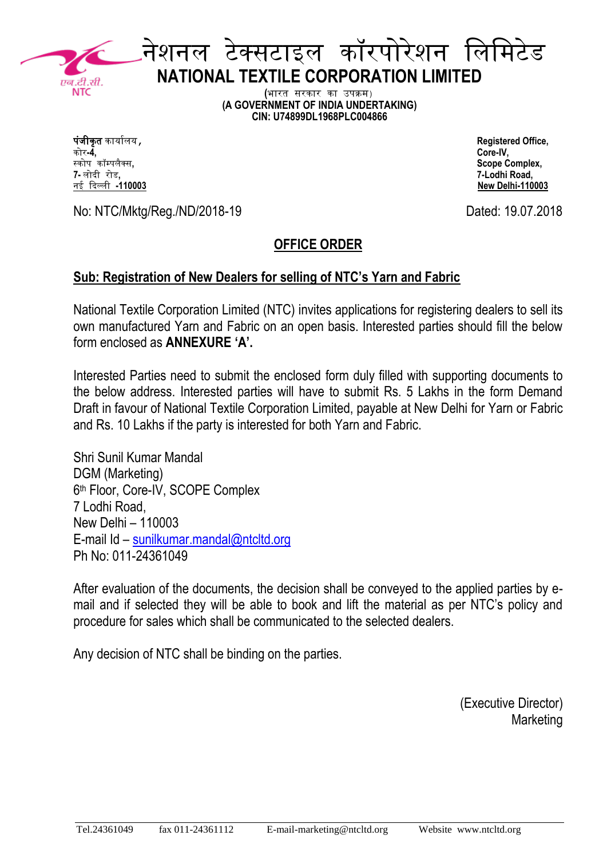

## नेशनल टेक्सटाइल कॉरपोरेशन लललिटेड **NATIONAL TEXTILE CORPORATION LIMITED**

**(**भारत सरकार का उपक्रि) **(A GOVERNMENT OF INDIA UNDERTAKING) CIN: U74899DL1968PLC004866**

पंजीकृ त कार्ाालर्, **Registered Office,** कोर**-4, Core-IV,** स्कोप कॉम्पलैक्स**, Scope Complex,**  नई दिल्ली -110003

**7-** लोदी रोड**, 7-Lodhi Road,**

No: NTC/Mktg/Reg./ND/2018-19 Dated: 19.07.2018

### **OFFICE ORDER**

#### **Sub: Registration of New Dealers for selling of NTC's Yarn and Fabric**

National Textile Corporation Limited (NTC) invites applications for registering dealers to sell its own manufactured Yarn and Fabric on an open basis. Interested parties should fill the below form enclosed as **ANNEXURE 'A'.**

Interested Parties need to submit the enclosed form duly filled with supporting documents to the below address. Interested parties will have to submit Rs. 5 Lakhs in the form Demand Draft in favour of National Textile Corporation Limited, payable at New Delhi for Yarn or Fabric and Rs. 10 Lakhs if the party is interested for both Yarn and Fabric.

Shri Sunil Kumar Mandal DGM (Marketing) 6 th Floor, Core-IV, SCOPE Complex 7 Lodhi Road, New Delhi – 110003 E-mail Id – [sunilkumar.mandal@ntcltd.org](mailto:sunilkumar.mandal@ntcltd.org) Ph No: 011-24361049

After evaluation of the documents, the decision shall be conveyed to the applied parties by email and if selected they will be able to book and lift the material as per NTC's policy and procedure for sales which shall be communicated to the selected dealers.

Any decision of NTC shall be binding on the parties.

(Executive Director) **Marketing**